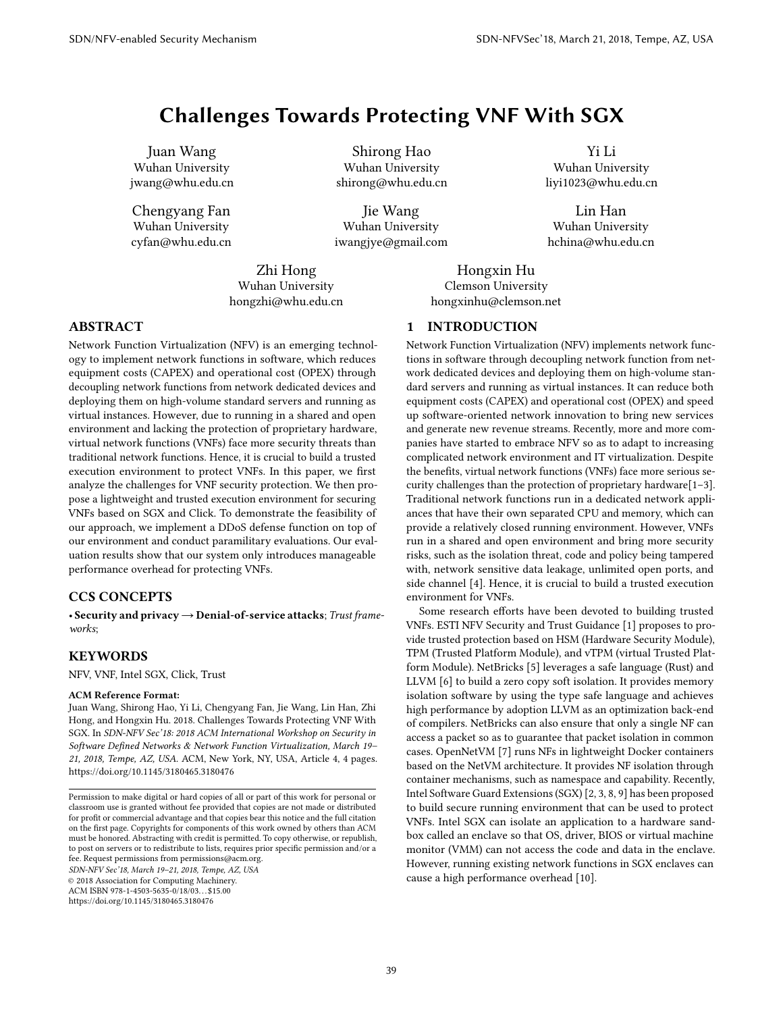# Challenges Towards Protecting VNF With SGX

Juan Wang Wuhan University jwang@whu.edu.cn

Chengyang Fan Wuhan University cyfan@whu.edu.cn

Shirong Hao Wuhan University shirong@whu.edu.cn

Jie Wang Wuhan University iwangjye@gmail.com

Zhi Hong Wuhan University hongzhi@whu.edu.cn

Wuhan University liyi1023@whu.edu.cn

Lin Han Wuhan University hchina@whu.edu.cn

Yi Li

Hongxin Hu Clemson University hongxinhu@clemson.net

### ABSTRACT

Network Function Virtualization (NFV) is an emerging technology to implement network functions in software, which reduces equipment costs (CAPEX) and operational cost (OPEX) through decoupling network functions from network dedicated devices and deploying them on high-volume standard servers and running as virtual instances. However, due to running in a shared and open environment and lacking the protection of proprietary hardware, virtual network functions (VNFs) face more security threats than traditional network functions. Hence, it is crucial to build a trusted execution environment to protect VNFs. In this paper, we frst analyze the challenges for VNF security protection. We then propose a lightweight and trusted execution environment for securing VNFs based on SGX and Click. To demonstrate the feasibility of our approach, we implement a DDoS defense function on top of our environment and conduct paramilitary evaluations. Our evaluation results show that our system only introduces manageable performance overhead for protecting VNFs.

#### CCS CONCEPTS

• Security and privacy  $\rightarrow$  Denial-of-service attacks; Trust frameworks;

#### **KEYWORDS**

NFV, VNF, Intel SGX, Click, Trust

#### ACM Reference Format:

Juan Wang, Shirong Hao, Yi Li, Chengyang Fan, Jie Wang, Lin Han, Zhi Hong, and Hongxin Hu. 2018. Challenges Towards Protecting VNF With SGX. In SDN-NFV Sec'18: 2018 ACM International Workshop on Security in Software Defned Networks & Network Function Virtualization, March 19– 21, 2018, Tempe, AZ, USA. ACM, New York, NY, USA, Article 4, [4](#page-3-0) pages. <https://doi.org/10.1145/3180465.3180476>

SDN-NFV Sec'18, March 19–21, 2018, Tempe, AZ, USA

© 2018 Association for Computing Machinery.

ACM ISBN 978-1-4503-5635-0/18/03. . . \$15.00

<https://doi.org/10.1145/3180465.3180476>

# 1 INTRODUCTION

Network Function Virtualization (NFV) implements network functions in software through decoupling network function from network dedicated devices and deploying them on high-volume standard servers and running as virtual instances. It can reduce both equipment costs (CAPEX) and operational cost (OPEX) and speed up software-oriented network innovation to bring new services and generate new revenue streams. Recently, more and more companies have started to embrace NFV so as to adapt to increasing complicated network environment and IT virtualization. Despite the benefts, virtual network functions (VNFs) face more serious security challenges than the protection of proprietary hardware[\[1–](#page-3-1)[3\]](#page-3-2). Traditional network functions run in a dedicated network appliances that have their own separated CPU and memory, which can provide a relatively closed running environment. However, VNFs run in a shared and open environment and bring more security risks, such as the isolation threat, code and policy being tampered with, network sensitive data leakage, unlimited open ports, and side channel [\[4\]](#page-3-3). Hence, it is crucial to build a trusted execution environment for VNFs.

Some research efforts have been devoted to building trusted VNFs. ESTI NFV Security and Trust Guidance [\[1\]](#page-3-1) proposes to provide trusted protection based on HSM (Hardware Security Module), TPM (Trusted Platform Module), and vTPM (virtual Trusted Platform Module). NetBricks [\[5\]](#page-3-4) leverages a safe language (Rust) and LLVM [\[6\]](#page-3-5) to build a zero copy soft isolation. It provides memory isolation software by using the type safe language and achieves high performance by adoption LLVM as an optimization back-end of compilers. NetBricks can also ensure that only a single NF can access a packet so as to guarantee that packet isolation in common cases. OpenNetVM [\[7\]](#page-3-6) runs NFs in lightweight Docker containers based on the NetVM architecture. It provides NF isolation through container mechanisms, such as namespace and capability. Recently, Intel Software Guard Extensions (SGX) [\[2,](#page-3-7) [3,](#page-3-2) [8,](#page-3-8) [9\]](#page-3-9) has been proposed to build secure running environment that can be used to protect VNFs. Intel SGX can isolate an application to a hardware sandbox called an enclave so that OS, driver, BIOS or virtual machine monitor (VMM) can not access the code and data in the enclave. However, running existing network functions in SGX enclaves can cause a high performance overhead [\[10\]](#page-3-10).

Permission to make digital or hard copies of all or part of this work for personal or classroom use is granted without fee provided that copies are not made or distributed for proft or commercial advantage and that copies bear this notice and the full citation on the frst page. Copyrights for components of this work owned by others than ACM must be honored. Abstracting with credit is permitted. To copy otherwise, or republish, to post on servers or to redistribute to lists, requires prior specifc permission and/or a fee. Request permissions from permissions@acm.org.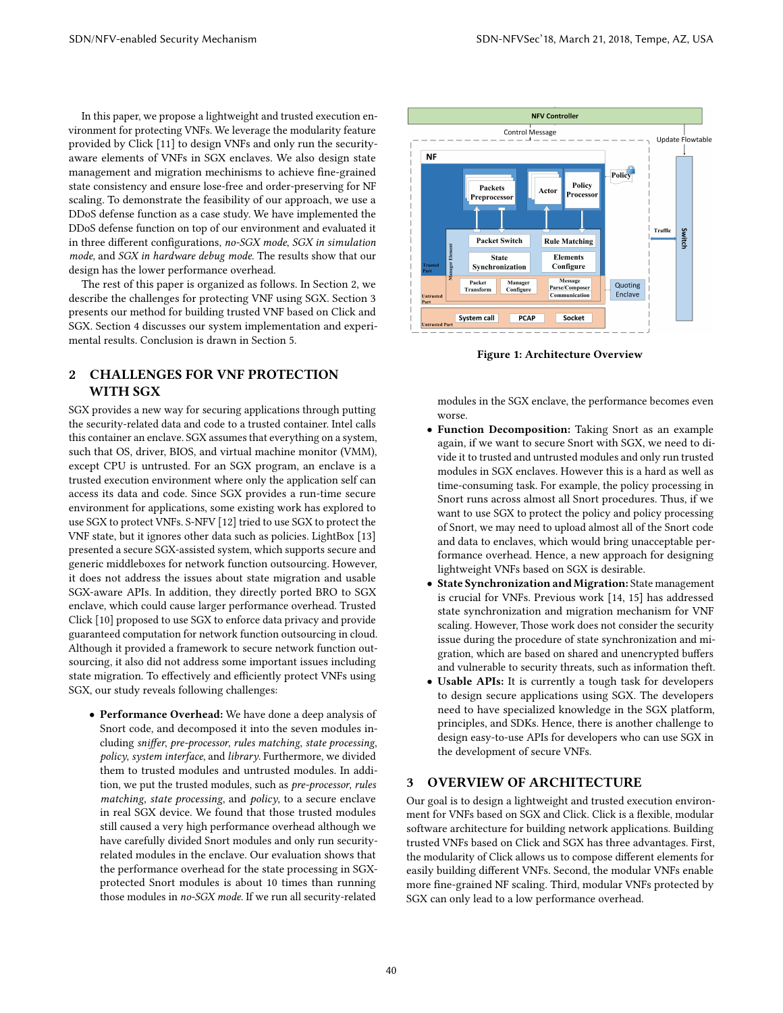In this paper, we propose a lightweight and trusted execution environment for protecting VNFs. We leverage the modularity feature provided by Click [\[11\]](#page-3-11) to design VNFs and only run the securityaware elements of VNFs in SGX enclaves. We also design state management and migration mechinisms to achieve fne-grained state consistency and ensure lose-free and order-preserving for NF scaling. To demonstrate the feasibility of our approach, we use a DDoS defense function as a case study. We have implemented the DDoS defense function on top of our environment and evaluated it in three diferent confgurations, no-SGX mode, SGX in simulation mode, and SGX in hardware debug mode. The results show that our design has the lower performance overhead.

The rest of this paper is organized as follows. In Section 2, we describe the challenges for protecting VNF using SGX. Section 3 presents our method for building trusted VNF based on Click and SGX. Section 4 discusses our system implementation and experimental results. Conclusion is drawn in Section 5.

# 2 CHALLENGES FOR VNF PROTECTION WITH SGX

SGX provides a new way for securing applications through putting the security-related data and code to a trusted container. Intel calls this container an enclave. SGX assumes that everything on a system, such that OS, driver, BIOS, and virtual machine monitor (VMM), except CPU is untrusted. For an SGX program, an enclave is a trusted execution environment where only the application self can access its data and code. Since SGX provides a run-time secure environment for applications, some existing work has explored to use SGX to protect VNFs. S-NFV [\[12\]](#page-3-12) tried to use SGX to protect the VNF state, but it ignores other data such as policies. LightBox [\[13\]](#page-3-13) presented a secure SGX-assisted system, which supports secure and generic middleboxes for network function outsourcing. However, it does not address the issues about state migration and usable SGX-aware APIs. In addition, they directly ported BRO to SGX enclave, which could cause larger performance overhead. Trusted Click [\[10\]](#page-3-10) proposed to use SGX to enforce data privacy and provide guaranteed computation for network function outsourcing in cloud. Although it provided a framework to secure network function outsourcing, it also did not address some important issues including state migration. To effectively and efficiently protect VNFs using SGX, our study reveals following challenges:

• Performance Overhead: We have done a deep analysis of Snort code, and decomposed it into the seven modules including snifer, pre-processor, rules matching, state processing, policy, system interface, and library. Furthermore, we divided them to trusted modules and untrusted modules. In addition, we put the trusted modules, such as pre-processor, rules matching, state processing, and policy, to a secure enclave in real SGX device. We found that those trusted modules still caused a very high performance overhead although we have carefully divided Snort modules and only run securityrelated modules in the enclave. Our evaluation shows that the performance overhead for the state processing in SGXprotected Snort modules is about 10 times than running those modules in no-SGX mode. If we run all security-related



Figure 1: Architecture Overview

modules in the SGX enclave, the performance becomes even worse.

- Function Decomposition: Taking Snort as an example again, if we want to secure Snort with SGX, we need to divide it to trusted and untrusted modules and only run trusted modules in SGX enclaves. However this is a hard as well as time-consuming task. For example, the policy processing in Snort runs across almost all Snort procedures. Thus, if we want to use SGX to protect the policy and policy processing of Snort, we may need to upload almost all of the Snort code and data to enclaves, which would bring unacceptable performance overhead. Hence, a new approach for designing lightweight VNFs based on SGX is desirable.
- State Synchronization and Migration: State management is crucial for VNFs. Previous work [\[14,](#page-3-14) [15\]](#page-3-15) has addressed state synchronization and migration mechanism for VNF scaling. However, Those work does not consider the security issue during the procedure of state synchronization and migration, which are based on shared and unencrypted bufers and vulnerable to security threats, such as information theft.
- Usable APIs: It is currently a tough task for developers to design secure applications using SGX. The developers need to have specialized knowledge in the SGX platform, principles, and SDKs. Hence, there is another challenge to design easy-to-use APIs for developers who can use SGX in the development of secure VNFs.

#### 3 OVERVIEW OF ARCHITECTURE

Our goal is to design a lightweight and trusted execution environment for VNFs based on SGX and Click. Click is a fexible, modular software architecture for building network applications. Building trusted VNFs based on Click and SGX has three advantages. First, the modularity of Click allows us to compose diferent elements for easily building diferent VNFs. Second, the modular VNFs enable more fne-grained NF scaling. Third, modular VNFs protected by SGX can only lead to a low performance overhead.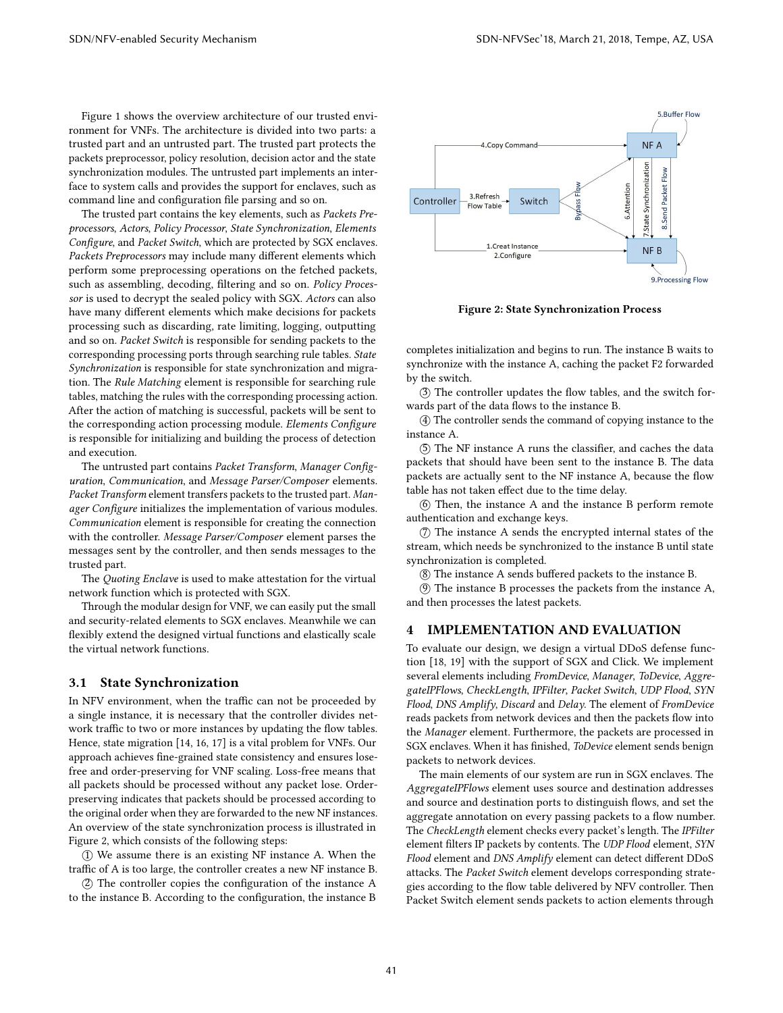Figure 1 shows the overview architecture of our trusted environment for VNFs. The architecture is divided into two parts: a trusted part and an untrusted part. The trusted part protects the packets preprocessor, policy resolution, decision actor and the state synchronization modules. The untrusted part implements an interface to system calls and provides the support for enclaves, such as command line and confguration fle parsing and so on.

The trusted part contains the key elements, such as Packets Preprocessors, Actors, Policy Processor, State Synchronization, Elements Confgure, and Packet Switch, which are protected by SGX enclaves. Packets Preprocessors may include many diferent elements which perform some preprocessing operations on the fetched packets, such as assembling, decoding, fltering and so on. Policy Processor is used to decrypt the sealed policy with SGX. Actors can also have many diferent elements which make decisions for packets processing such as discarding, rate limiting, logging, outputting and so on. Packet Switch is responsible for sending packets to the corresponding processing ports through searching rule tables. State Synchronization is responsible for state synchronization and migration. The Rule Matching element is responsible for searching rule tables, matching the rules with the corresponding processing action. After the action of matching is successful, packets will be sent to the corresponding action processing module. Elements Confgure is responsible for initializing and building the process of detection and execution.

The untrusted part contains Packet Transform, Manager Confguration, Communication, and Message Parser/Composer elements. Packet Transform element transfers packets to the trusted part. Manager Confgure initializes the implementation of various modules. Communication element is responsible for creating the connection with the controller. Message Parser/Composer element parses the messages sent by the controller, and then sends messages to the trusted part.

The Quoting Enclave is used to make attestation for the virtual network function which is protected with SGX.

Through the modular design for VNF, we can easily put the small and security-related elements to SGX enclaves. Meanwhile we can fexibly extend the designed virtual functions and elastically scale the virtual network functions.

#### 3.1 State Synchronization

In NFV environment, when the traffic can not be proceeded by a single instance, it is necessary that the controller divides network traffic to two or more instances by updating the flow tables. Hence, state migration [\[14,](#page-3-14) [16,](#page-3-16) [17\]](#page-3-17) is a vital problem for VNFs. Our approach achieves fne-grained state consistency and ensures losefree and order-preserving for VNF scaling. Loss-free means that all packets should be processed without any packet lose. Orderpreserving indicates that packets should be processed according to the original order when they are forwarded to the new NF instances. An overview of the state synchronization process is illustrated in Figure 2, which consists of the following steps:

○1 We assume there is an existing NF instance A. When the traffic of A is too large, the controller creates a new NF instance B.

○2 The controller copies the confguration of the instance A to the instance B. According to the confguration, the instance B



Figure 2: State Synchronization Process

completes initialization and begins to run. The instance B waits to synchronize with the instance A, caching the packet F2 forwarded by the switch.

○3 The controller updates the fow tables, and the switch forwards part of the data flows to the instance B.

○4 The controller sends the command of copying instance to the instance A.

○5 The NF instance A runs the classifer, and caches the data packets that should have been sent to the instance B. The data packets are actually sent to the NF instance A, because the flow table has not taken efect due to the time delay.

○6 Then, the instance A and the instance B perform remote authentication and exchange keys.

○7 The instance A sends the encrypted internal states of the stream, which needs be synchronized to the instance B until state synchronization is completed.

○8 The instance A sends bufered packets to the instance B.

○9 The instance B processes the packets from the instance A, and then processes the latest packets.

#### 4 IMPLEMENTATION AND EVALUATION

To evaluate our design, we design a virtual DDoS defense function [\[18,](#page-3-18) [19\]](#page-3-19) with the support of SGX and Click. We implement several elements including FromDevice, Manager, ToDevice, AggregateIPFlows, CheckLength, IPFilter, Packet Switch, UDP Flood, SYN Flood, DNS Amplify, Discard and Delay. The element of FromDevice reads packets from network devices and then the packets fow into the Manager element. Furthermore, the packets are processed in SGX enclaves. When it has finished, ToDevice element sends benign packets to network devices.

The main elements of our system are run in SGX enclaves. The AggregateIPFlows element uses source and destination addresses and source and destination ports to distinguish flows, and set the aggregate annotation on every passing packets to a flow number. The CheckLength element checks every packet's length. The IPFilter element flters IP packets by contents. The UDP Flood element, SYN Flood element and DNS Amplify element can detect diferent DDoS attacks. The Packet Switch element develops corresponding strategies according to the flow table delivered by NFV controller. Then Packet Switch element sends packets to action elements through